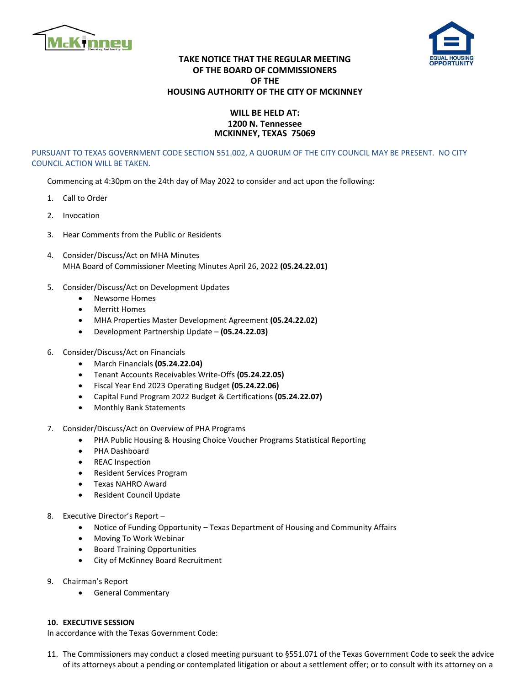



## **TAKE NOTICE THAT THE REGULAR MEETING OF THE BOARD OF COMMISSIONERS OF THE HOUSING AUTHORITY OF THE CITY OF MCKINNEY**

## **WILL BE HELD AT: 1200 N. Tennessee MCKINNEY, TEXAS 75069**

PURSUANT TO TEXAS GOVERNMENT CODE SECTION 551.002, A QUORUM OF THE CITY COUNCIL MAY BE PRESENT. NO CITY COUNCIL ACTION WILL BE TAKEN.

Commencing at 4:30pm on the 24th day of May 2022 to consider and act upon the following:

- 1. Call to Order
- 2. Invocation
- 3. Hear Comments from the Public or Residents
- 4. Consider/Discuss/Act on MHA Minutes MHA Board of Commissioner Meeting Minutes April 26, 2022 **(05.24.22.01)**
- 5. Consider/Discuss/Act on Development Updates
	- Newsome Homes
	- Merritt Homes
	- MHA Properties Master Development Agreement **(05.24.22.02)**
	- Development Partnership Update **(05.24.22.03)**
- 6. Consider/Discuss/Act on Financials
	- March Financials **(05.24.22.04)**
	- Tenant Accounts Receivables Write-Offs **(05.24.22.05)**
	- Fiscal Year End 2023 Operating Budget **(05.24.22.06)**
	- Capital Fund Program 2022 Budget & Certifications **(05.24.22.07)**
	- Monthly Bank Statements
- 7. Consider/Discuss/Act on Overview of PHA Programs
	- PHA Public Housing & Housing Choice Voucher Programs Statistical Reporting
	- PHA Dashboard
	- REAC Inspection
	- Resident Services Program
	- Texas NAHRO Award
	- Resident Council Update
- 8. Executive Director's Report
	- Notice of Funding Opportunity Texas Department of Housing and Community Affairs
	- Moving To Work Webinar
	- Board Training Opportunities
	- City of McKinney Board Recruitment
- 9. Chairman's Report
	- General Commentary

## **10. EXECUTIVE SESSION**

In accordance with the Texas Government Code:

11. The Commissioners may conduct a closed meeting pursuant to §551.071 of the Texas Government Code to seek the advice of its attorneys about a pending or contemplated litigation or about a settlement offer; or to consult with its attorney on a